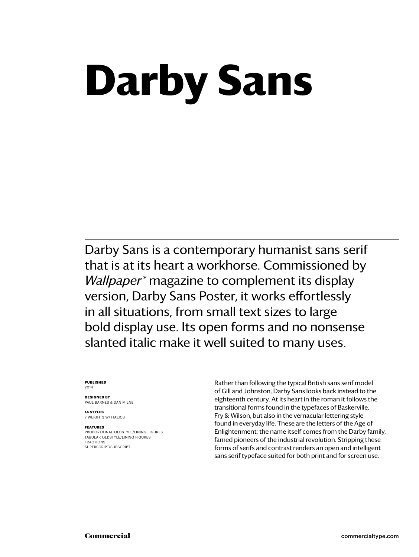# **Darby Sans**

Darby Sans is a contemporary humanist sans serif that is at its heart a workhorse. Commissioned by *Wallpaper\** magazine to complement its display version, Darby Sans Poster, it works effortlessly in all situations, from small text sizes to large bold display use. Its open forms and no nonsense slanted italic make it well suited to many uses.

### **Published** 2014

**Designed by** Paul Barnes & dan milne

**14 styles** 7 weights w/ ITALICS

### **Features**

PROPORTIONAL oldstyle/LINING FIGURES tabular oldstyle/LINING FIGURES FRACTIONS SUPERSCRIPT/SUBSCRIPT

Rather than following the typical British sans serif model of Gill and Johnston, Darby Sans looks back instead to the eighteenth century. At its heart in the roman it follows the transitional forms found in the typefaces of Baskerville, Fry & Wilson, but also in the vernacular lettering style found in everyday life. These are the letters of the Age of Enlightenment; the name itself comes from the Darby family, famed pioneers of the industrial revolution. Stripping these forms of serifs and contrast renders an open and intelligent sans serif typeface suited for both print and for screen use.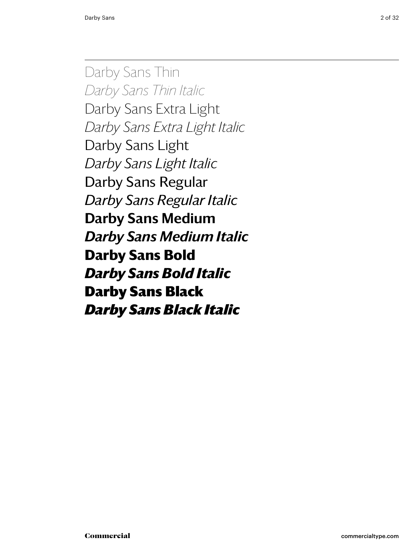Darby Sans Thin *Darby Sans Thin Italic* Darby Sans Extra Light *Darby Sans Extra Light Italic* Darby Sans Light *Darby Sans Light Italic* Darby Sans Regular *Darby Sans Regular Italic* Darby Sans Medium *Darby Sans Medium Italic* **Darby Sans Bold** *Darby Sans Bold Italic* Darby Sans Black *Darby Sans Black Italic*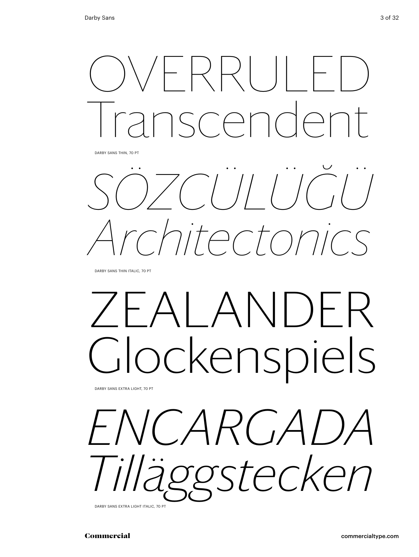

Darby Sans Thin, 70 pt

 $\bullet$  $\cdot$  . *sözcülüğü Architectonics*

DARBY SANS THIN ITALIC, 70 PT

# alander ockenspiels

Darby Sans Extra Light, 70 pt

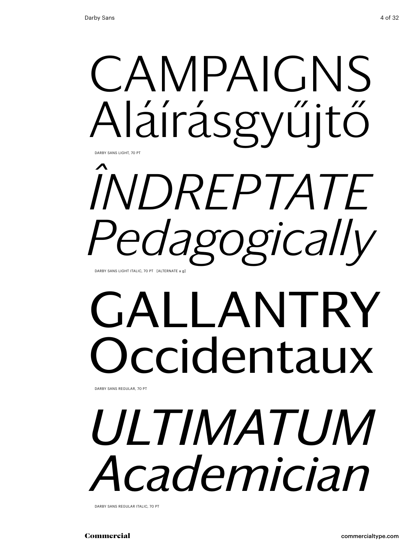

## *îndreptate Pedagogically* Darby Sans Light italic, 70 pt [alternate a g]

# GALLANTRY ccidentaux

Darby Sans regular, 70 pt

# *ultimatum Academician*

Darby Sans regular italic, 70 pt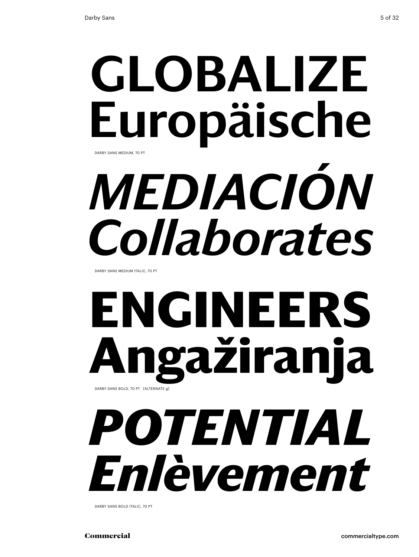## globalize Europäische *mediación* DARBY SANS MEDIUM, 70 PT

*Collaborates*

Darby Sans medium italic, 70 pt

## **engineers Angažiranja** DARBY SANS BOLD, 70 PT [ALTERNATE g]

## *potential Enlèvement*

Darby Sans bold italic, 70 pt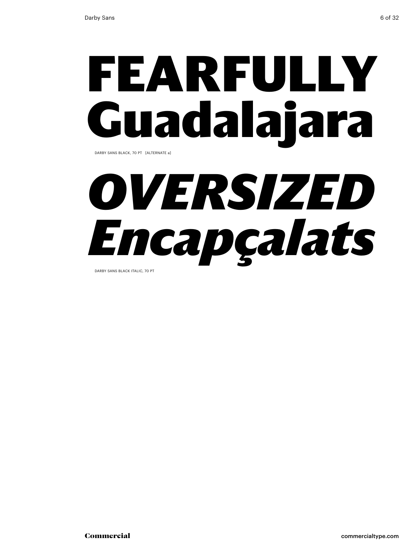# fearfully Guadalajara

Darby Sans black, 70 pt [alternate a]

# *oversized Encapçalats*

Darby Sans black italic, 70 pt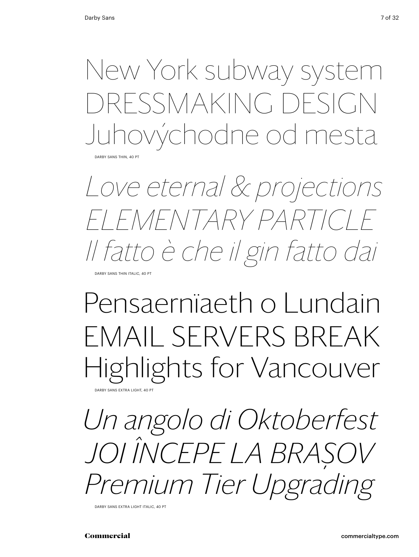New York subway system DRESSMAKING DESIGN Juhovýchodne od mesta

DARBY SANS THIN, 40 PT

*Love eternal & projections elementary particle Il fatto è che il gin fatto dai*

DARRY SANS THIN ITALIC, 40 PT

### Pensaernïaeth o Lundain EMAIL SERVERS BREAK Highlights for Vancouver ARBY SANS EXTRA LIGHT, 40 P

*Un angolo di Oktoberfest Joi începe la Braşov Premium Tier Upgrading*

DARBY SANS EXTRA LIGHT ITALIC, 40 PT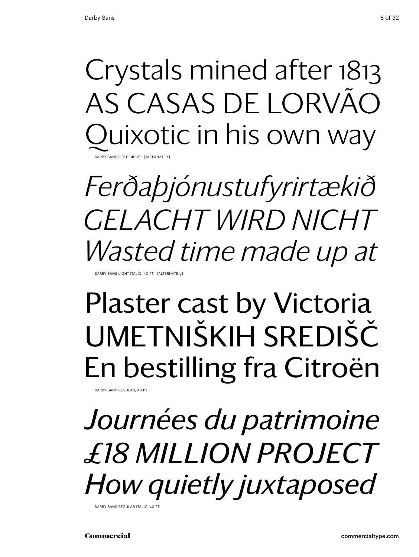## Crystals mined after 1813 as Casas de Lorvão uixotic in his own way

Darby Sans Light, 40 pt [alternate a]

*Ferðaþjónustufyrirtækið Gelacht wird nicht Wasted time made up at*

DARBY SANS LIGHT ITALIC, 40 PT [ALTERNAT

### Plaster cast by Victoria Umetniških središč En bestilling fra Citroën

DARBY SANS REGULAR, 40 PT

*Journées du patrimoine £18 million project How quietly juxtaposed* 

DARBY SANS REGULAR ITALIC, 40 F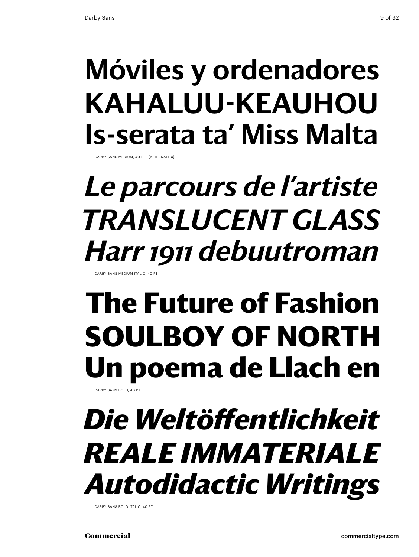### Móviles y ordenadores Kahaluu-Keauhou Is-serata ta' Miss Malta

DARBY SANS MEDIUM, 40 PT [ALTERNATE a]

### *Le parcours de l'artiste translucent glass Harr 1911 debuutroman*

SANS MEDIUM ITALIC

## **The Future of Fashion SOULBOY OF NORTH Un poema de Llach en**

DARBY SANS BOLD, 40 P

### *Die Weltöffentlichkeit reale immateriale Autodidactic Writings*

DARBY SANS BOLD ITALIC, 40 PT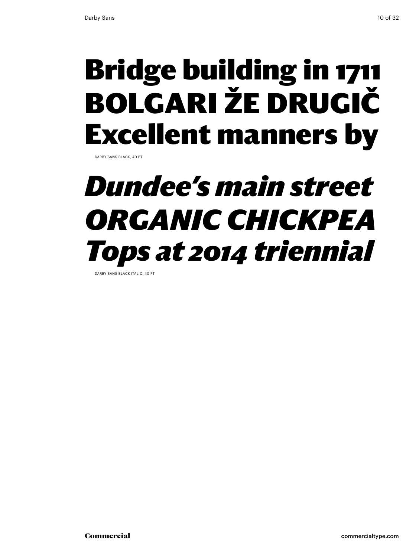### Bridge building in 1711 Bolgari že drugič Excellent manners by

DARBY SANS BLACK, 40 PT

### *Dundee's main street organic Chickpea Tops at 2014 triennial*

DARBY SANS BLACK ITALIC, 40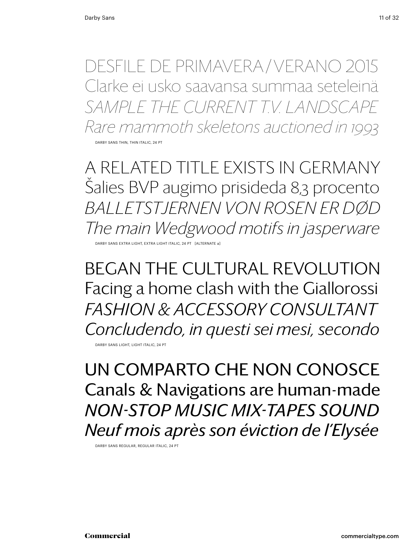desfile de primavera / verano 2015 Clarke ei usko saavansa summaa seteleinä *sample the current T.V. landscape Rare mammoth skeletons auctioned in 1993* DARBY SANS THIN, THIN ITALIC, 24 PT

A related title exists in GERMANY Šalies BVP augimo prisideda 8,3 procento *Balletstjernen von Rosen er død The main Wedgwood motifs in jasperware* Darby Sans Extra Light, extra Light Italic, 24 Pt [alternate a]

BEGaN the cultural Revolution Facing a home clash with the Giallorossi *Fashion & accessory consultant Concludendo, in questi sei mesi, secondo*

DARBY SANS LIGHT, LIGHT ITALIC. 24 PT

Un comparto che non conosce Canals & Navigations are human-made *NON-STOP MUSIC MIX-TAPES SOUND Neuf mois après son éviction de l'Elysée*

Darby Sans regular, regular Italic, 24 Pt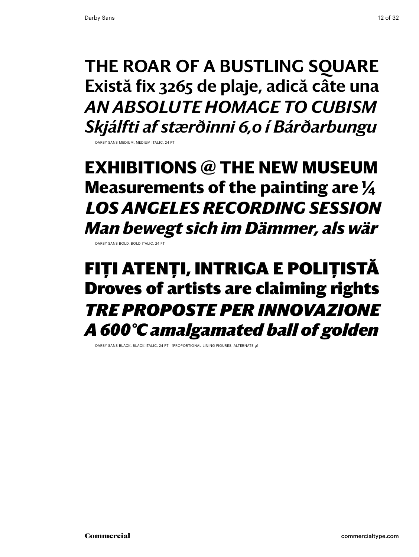THE ROAR OF A BUSTLING SOUARE Există fix 3265 de plaje, adică câte una *an absolute homage to cubism Skjálfti af stærðinni 6,0 í Bárðarbungu*

DARBY SANS MEDIUM, MEDIUM ITALIC, 24 PT

**exhibitions @ the new museum Measurements of the painting are 1/4** *LOS ANGELES RECORDING SESSION Man bewegt sich im Dämmer, als wär*

Darby Sans bold, bold Italic, 24 Pt

### FIȚI ATENȚI, INTRIGA E POLIȚISTĂ Droves of artists are claiming rights *tre proposte per innovazione A 600°C amalgamated ball of golden*

DARBY SANS BLACK, BLACK ITALIC, 24 PT [PROPORTIONAL LINING FIGURES, ALTERNATE g]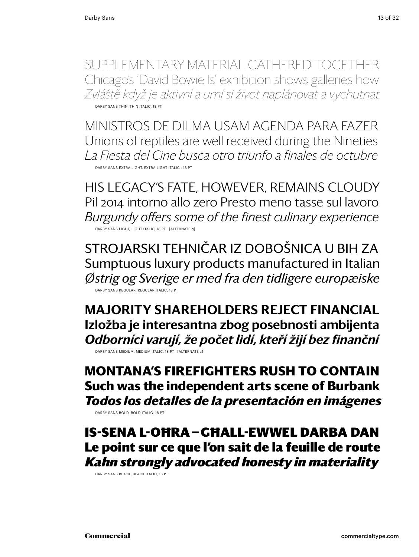SUPPLEMENTARY MATERIAL GATHERED TOGETHER Chicago's 'David Bowie Is' exhibition shows galleries how *Zvláště když je aktivní a umí si život naplánovat a vychutnat* DARBY SANS THIN, THIN ITALIC, 18 PT

Ministros de Dilma usam agenda para fazer Unions of reptiles are well received during the Nineties *La Fiesta del Cine busca otro triunfo a finales de octubre* Darby Sans extra light, extra Light Italic , 18 Pt

his legacy's fate, however, remains cloudy Pil 2014 intorno allo zero Presto meno tasse sul lavoro *Burgundy offers some of the finest culinary experience* Darby Sans light, Light Italic, 18 Pt [alternate g]

Strojarski tehničar iz Dobošnica u BiH za Sumptuous luxury products manufactured in Italian *Østrig og Sverige er med fra den tidligere europæiske* Darby Sans regular, regular Italic, 18 Pt

MAJORITY SHAREHOLDERS REJECT FINANCIAL Izložba je interesantna zbog posebnosti ambijenta *Odborníci varují, že počet lidí, kteří žijí bez finanční* DARBY SANS MEDIUM, MEDIUM ITALIC, 18 PT [ALTERNATE a]

**montana's firefighters rush to contain Such was the independent arts scene of Burbank**  *Todos los detalles de la presentación en imágenes*

DARBY SANS BOLD, BOLD ITALIC, 18 PT

Is-sena l-oħra — għall-ewwel darba dan Le point sur ce que l'on sait de la feuille de route *Kahn strongly advocated honesty in materiality*

Darby Sans black, black italic, 18 Pt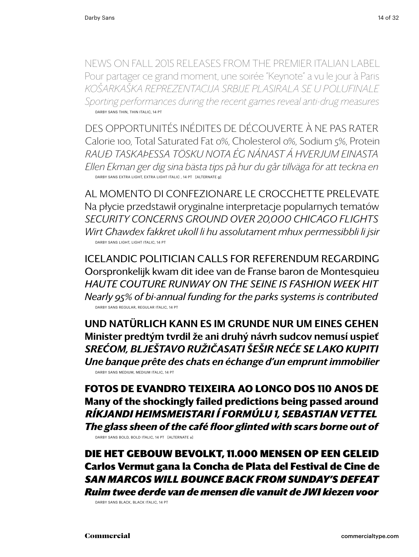news on fall 2015 releases from the premier italian label Pour partager ce grand moment, une soirée "Keynote" a vu le jour à Paris *Košarkaška reprezentacija Srbije plasirala se u polufinale Sporting performances during the recent games reveal anti-drug measures* DARBY SANS THIN, THIN ITALIC, 14 PT

Des opportunités inédites de découverte à ne pas rater Calorie 100, Total Saturated Fat 0%, Cholesterol 0%, Sodium 5%, Protein *Rauð taskaÞessa tösku nota ég nánast á hverjum einasta Ellen Ekman ger dig sina bästa tips på hur du går tillväga för att teckna en* Darby Sans extra light, extra Light Italic , 14 pt [alternate g]

Al momento di confezionare le crocchette prelevate Na płycie przedstawił oryginalne interpretacje popularnych tematów *security concerns ground over 20,000 Chicago flights Wirt Għawdex fakkret ukoll li hu assolutament mhux permessibbli li jsir* Darby Sans light, Light Italic, 14 pt

icelandic politician calls for referendum regarding Oorspronkelijk kwam dit idee van de Franse baron de Montesquieu *Haute couture runway on the seine is fashion week hit Nearly 95% of bi-annual funding for the parks systems is contributed* Darby Sans regular, regular Italic, 14 pt

Und natürlich kann es im Grunde nur um eines gehen Minister predtým tvrdil že ani druhý návrh sudcov nemusí uspieť *Srećom, blještavo ružičasati šešir neće se lako kupiti Une banque prête des chats en échange d'un emprunt immobilier* Darby Sans medium, medium italic, 14 pt

**Fotos de Evandro Teixeira ao longo dos 110 anos de Many of the shockingly failed predictions being passed around** *Ríkjandi heimsmeistari í Formúlu 1, Sebastian Vettel The glass sheen of the café floor glinted with scars borne out of* DARBY SANS BOLD, BOLD ITALIC, 14 PT [ALTERNATE a]

Die het gebouw bevolkt, 11.000 mensen op een geleid Carlos Vermut gana la Concha de Plata del Festival de Cine de *san marcos Will bounce back from Sunday's defeat Ruim twee derde van de mensen die vanuit de JWI kiezen voor*

Darby Sans black, black italic, 14 pt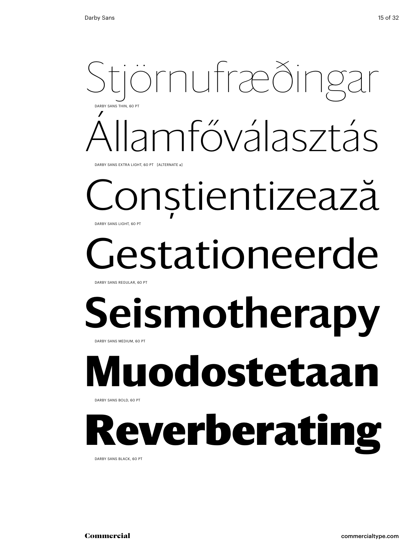## tjörnufræðing Államfőválasztás Darby Sans Thin, 60 Pt

DARBY SANS EXTRA LIGHT, 60 PT [ALTERNATE a]

### Conştientizează DARBY SANS LIGHT, 60 PT

# estationeerde

Darby Sans Regular, 60 Pt

### Seismotherapy Darby Sans Medium, 60 Pt

## **Muodostetaan**

Darby Sans Bold, 60 Pt

## everberating

Darby Sans black, 60 Pt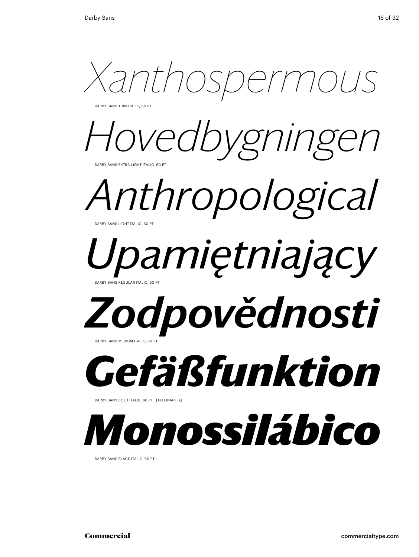*Xanthospermous*

DARBY SANS THIN ITALIC, 60 PT



*Anthropological*  DARBY SANS LIGHT ITALIC, 60 PT

### *Upamiętniający* ARBY SANS REGULAR ITALIC, 60 PT

## *Zodpovědnosti*

DARBY SANS MEDIUM ITALIC, 60



DARBY SANS BOLD ITALIC, 60 PT [ALTERNATE a]



DARBY SANS BLACK ITALIC, 60 PT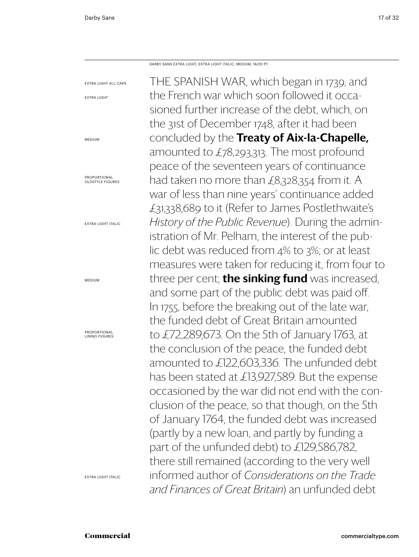THE SPANISH WAR, which began in 1739, and the French war which soon followed it occasioned further increase of the debt, which, on the 31st of December 1748, after it had been concluded by the Treaty of Aix-la-Chapelle, amounted to £78,293,313. The most profound peace of the seventeen years of continuance had taken no more than £8,328,354 from it. A war of less than nine years' continuance added £31,338,689 to it (Refer to James Postlethwaite's *History of the Public Revenue*). During the administration of Mr. Pelham, the interest of the public debt was reduced from 4% to 3%; or at least measures were taken for reducing it, from four to three per cent; **the sinking fund** was increased, and some part of the public debt was paid off. In 1755, before the breaking out of the late war, the funded debt of Great Britain amounted to £72,289,673. On the 5th of January 1763, at the conclusion of the peace, the funded debt amounted to £122,603,336. The unfunded debt has been stated at £13,927,589. But the expense occasioned by the war did not end with the conclusion of the peace, so that though, on the 5th of January 1764, the funded debt was increased (partly by a new loan, and partly by funding a part of the unfunded debt) to £129,586,782, there still remained (according to the very well informed author of *Considerations on the Trade and Finances of Great Britain*) an unfunded debt Darby Sans Extra Light, Extra Light Italic, Medium, 16/20 PT extra light all caps extra light medium Proportional oldstyle figures extra light italic medium Proportional lining figures extra light Italic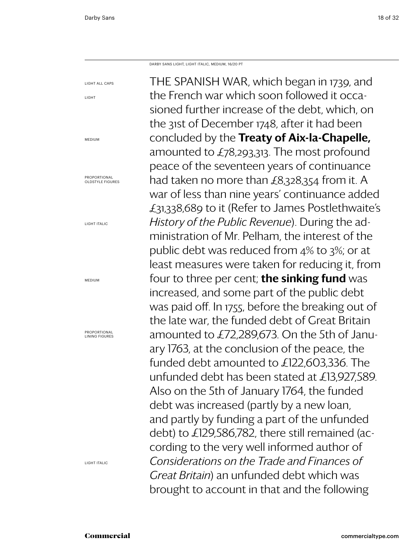light

medium

medium

Darby Sans Light, Light Italic, Medium, 16/20 PT

THE SPANISH WAR, which began in 1739, and the French war which soon followed it occasioned further increase of the debt, which, on the 31st of December 1748, after it had been concluded by the Treaty of Aix-la-Chapelle, amounted to £78,293,313. The most profound peace of the seventeen years of continuance had taken no more than £8,328,354 from it. A war of less than nine years' continuance added £31,338,689 to it (Refer to James Postlethwaite's *History of the Public Revenue*). During the administration of Mr. Pelham, the interest of the public debt was reduced from 4% to 3%; or at least measures were taken for reducing it, from four to three per cent; **the sinking fund** was increased, and some part of the public debt was paid off. In 1755, before the breaking out of the late war, the funded debt of Great Britain amounted to £72,289,673. On the 5th of January 1763, at the conclusion of the peace, the funded debt amounted to £122,603,336. The unfunded debt has been stated at £13,927,589. Also on the 5th of January 1764, the funded debt was increased (partly by a new loan, and partly by funding a part of the unfunded debt) to £129,586,782, there still remained (according to the very well informed author of *Considerations on the Trade and Finances of Great Britain*) an unfunded debt which was brought to account in that and the following light all caps Proportional oldstyle figures light italic Proportional lining figures

light Italic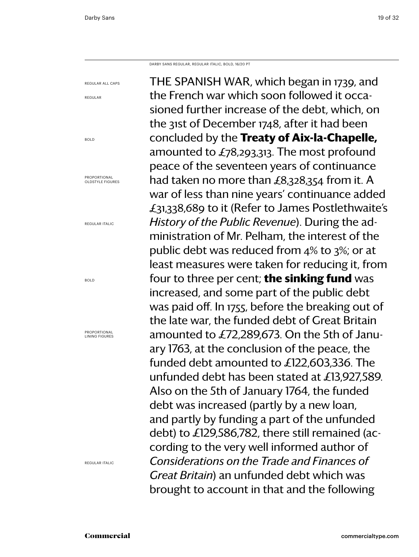regular all caps

regular

bold

Proportional oldstyle figures

regular italic

Darby Sans regular, regular Italic, bold, 16/20 PT

THE SPANISH WAR, which began in 1739, and the French war which soon followed it occasioned further increase of the debt, which, on the 31st of December 1748, after it had been concluded by the **Treaty of Aix-la-Chapelle,** amounted to £78,293,313. The most profound peace of the seventeen years of continuance had taken no more than £8,328,354 from it. A war of less than nine years' continuance added £31,338,689 to it (Refer to James Postlethwaite's *History of the Public Revenue*). During the administration of Mr. Pelham, the interest of the public debt was reduced from 4% to 3%; or at least measures were taken for reducing it, from four to three per cent; **the sinking fund** was increased, and some part of the public debt was paid off. In 1755, before the breaking out of the late war, the funded debt of Great Britain amounted to £72,289,673. On the 5th of January 1763, at the conclusion of the peace, the funded debt amounted to £122,603,336. The unfunded debt has been stated at £13,927,589. Also on the 5th of January 1764, the funded debt was increased (partly by a new loan, and partly by funding a part of the unfunded debt) to £129,586,782, there still remained (according to the very well informed author of *Considerations on the Trade and Finances of Great Britain*) an unfunded debt which was brought to account in that and the following

bold

Proportional lining figures

regular Italic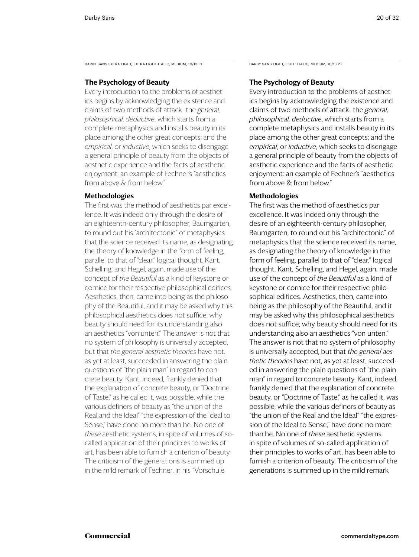DARBY SANS EXTRA LIGHT, EXTRA LIGHT ITALIC, MEDIUM, 10/13 PT DARBY SANS LIGHT, LIGHT ITALIC, MEDIUM, 10/13 PT

### The Psychology of Beauty

Every introduction to the problems of aesthetics begins by acknowledging the existence and claims of two methods of attack—the *general, philosophical, deductive*, which starts from a complete metaphysics and installs beauty in its place among the other great concepts; and the *empirical*, or *inductive*, which seeks to disengage a general principle of beauty from the objects of aesthetic experience and the facts of aesthetic enjoyment: an example of Fechner's "aesthetics from above & from below."

### Methodologies

The first was the method of aesthetics par excellence. It was indeed only through the desire of an eighteenth-century philosopher, Baumgarten, to round out his "architectonic" of metaphysics that the science received its name, as designating the theory of knowledge in the form of feeling, parallel to that of "clear," logical thought. Kant, Schelling, and Hegel, again, made use of the concept of *the Beautiful* as a kind of keystone or cornice for their respective philosophical edifices. Aesthetics, then, came into being as the philosophy of the Beautiful, and it may be asked why this philosophical aesthetics does not suffice; why beauty should need for its understanding also an aesthetics "von unten." The answer is not that no system of philosophy is universally accepted, but that *the general aesthetic theories* have not, as yet at least, succeeded in answering the plain questions of "the plain man" in regard to concrete beauty. Kant, indeed, frankly denied that the explanation of concrete beauty, or "Doctrine of Taste," as he called it, was possible, while the various definers of beauty as "the union of the Real and the Ideal" "the expression of the Ideal to Sense," have done no more than he. No one of *these* aesthetic systems, in spite of volumes of socalled application of their principles to works of art, has been able to furnish a criterion of beauty. The criticism of the generations is summed up in the mild remark of Fechner, in his "Vorschule

### The Psychology of Beauty

Every introduction to the problems of aesthetics begins by acknowledging the existence and claims of two methods of attack—the *general, philosophical, deductive*, which starts from a complete metaphysics and installs beauty in its place among the other great concepts; and the *empirical*, or *inductive*, which seeks to disengage a general principle of beauty from the objects of aesthetic experience and the facts of aesthetic enjoyment: an example of Fechner's "aesthetics from above & from below."

### Methodologies

The first was the method of aesthetics par excellence. It was indeed only through the desire of an eighteenth-century philosopher, Baumgarten, to round out his "architectonic" of metaphysics that the science received its name, as designating the theory of knowledge in the form of feeling, parallel to that of "clear," logical thought. Kant, Schelling, and Hegel, again, made use of the concept of *the Beautiful* as a kind of keystone or cornice for their respective philosophical edifices. Aesthetics, then, came into being as the philosophy of the Beautiful, and it may be asked why this philosophical aesthetics does not suffice; why beauty should need for its understanding also an aesthetics "von unten." The answer is not that no system of philosophy is universally accepted, but that *the general aesthetic theories* have not, as yet at least, succeeded in answering the plain questions of "the plain man" in regard to concrete beauty. Kant, indeed, frankly denied that the explanation of concrete beauty, or "Doctrine of Taste," as he called it, was possible, while the various definers of beauty as "the union of the Real and the Ideal" "the expression of the Ideal to Sense," have done no more than he. No one of *these* aesthetic systems, in spite of volumes of so-called application of their principles to works of art, has been able to furnish a criterion of beauty. The criticism of the generations is summed up in the mild remark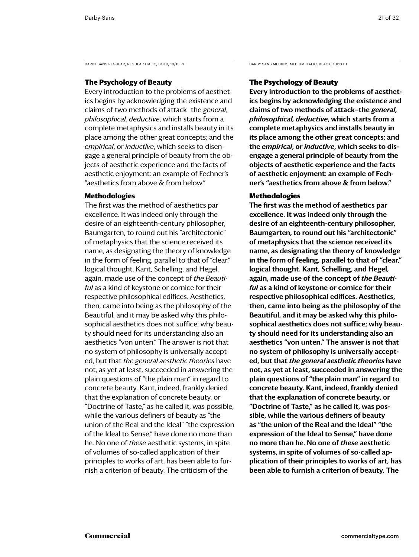DARBY SANS REGULAR, REGULAR ITALIC, BOLD, 10/13 PT DARBY SANS MEDIUM, MEDIUM ITALIC, BLACK, 10/13 PT

### **The Psychology of Beauty**

Every introduction to the problems of aesthetics begins by acknowledging the existence and claims of two methods of attack—the *general, philosophical, deductive*, which starts from a complete metaphysics and installs beauty in its place among the other great concepts; and the *empirical*, or *inductive*, which seeks to disengage a general principle of beauty from the objects of aesthetic experience and the facts of aesthetic enjoyment: an example of Fechner's "aesthetics from above & from below."

### **Methodologies**

The first was the method of aesthetics par excellence. It was indeed only through the desire of an eighteenth-century philosopher, Baumgarten, to round out his "architectonic" of metaphysics that the science received its name, as designating the theory of knowledge in the form of feeling, parallel to that of "clear," logical thought. Kant, Schelling, and Hegel, again, made use of the concept of *the Beautiful* as a kind of keystone or cornice for their respective philosophical edifices. Aesthetics, then, came into being as the philosophy of the Beautiful, and it may be asked why this philosophical aesthetics does not suffice; why beauty should need for its understanding also an aesthetics "von unten." The answer is not that no system of philosophy is universally accepted, but that *the general aesthetic theories* have not, as yet at least, succeeded in answering the plain questions of "the plain man" in regard to concrete beauty. Kant, indeed, frankly denied that the explanation of concrete beauty, or "Doctrine of Taste," as he called it, was possible, while the various definers of beauty as "the union of the Real and the Ideal" "the expression of the Ideal to Sense," have done no more than he. No one of *these* aesthetic systems, in spite of volumes of so-called application of their principles to works of art, has been able to furnish a criterion of beauty. The criticism of the

### The Psychology of Beauty

Every introduction to the problems of aesthetics begins by acknowledging the existence and claims of two methods of attack—the *general, philosophical, deductive*, which starts from a complete metaphysics and installs beauty in its place among the other great concepts; and the *empirical*, or *inductive*, which seeks to disengage a general principle of beauty from the objects of aesthetic experience and the facts of aesthetic enjoyment: an example of Fechner's "aesthetics from above & from below."

### Methodologies

The first was the method of aesthetics par excellence. It was indeed only through the desire of an eighteenth-century philosopher, Baumgarten, to round out his "architectonic" of metaphysics that the science received its name, as designating the theory of knowledge in the form of feeling, parallel to that of "clear," logical thought. Kant, Schelling, and Hegel, again, made use of the concept of *the Beautiful* as a kind of keystone or cornice for their respective philosophical edifices. Aesthetics, then, came into being as the philosophy of the Beautiful, and it may be asked why this philosophical aesthetics does not suffice; why beauty should need for its understanding also an aesthetics "von unten." The answer is not that no system of philosophy is universally accepted, but that *the general aesthetic theories* have not, as yet at least, succeeded in answering the plain questions of "the plain man" in regard to concrete beauty. Kant, indeed, frankly denied that the explanation of concrete beauty, or "Doctrine of Taste," as he called it, was possible, while the various definers of beauty as "the union of the Real and the Ideal" "the expression of the Ideal to Sense," have done no more than he. No one of *these* aesthetic systems, in spite of volumes of so-called application of their principles to works of art, has been able to furnish a criterion of beauty. The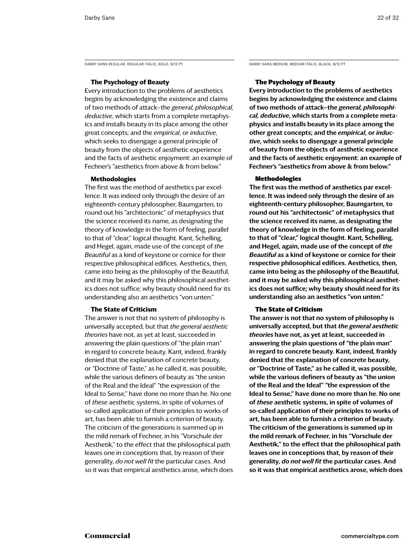DARBY SANS REGULAR, REGULAR ITALIC, BOLD, 9/12 PT DARBY SANS MEDIUM, MEDIUM ITALIC, BLACK, 9/12 PT

### **The Psychology of Beauty**

Every introduction to the problems of aesthetics begins by acknowledging the existence and claims of two methods of attack—the *general, philosophical, deductive*, which starts from a complete metaphysics and installs beauty in its place among the other great concepts; and the *empirical*, or *inductive*, which seeks to disengage a general principle of beauty from the objects of aesthetic experience and the facts of aesthetic enjoyment: an example of Fechner's "aesthetics from above & from below."

### **Methodologies**

The first was the method of aesthetics par excellence. It was indeed only through the desire of an eighteenth-century philosopher, Baumgarten, to round out his "architectonic" of metaphysics that the science received its name, as designating the theory of knowledge in the form of feeling, parallel to that of "clear," logical thought. Kant, Schelling, and Hegel, again, made use of the concept of *the Beautiful* as a kind of keystone or cornice for their respective philosophical edifices. Aesthetics, then, came into being as the philosophy of the Beautiful, and it may be asked why this philosophical aesthetics does not suffice; why beauty should need for its understanding also an aesthetics "von unten."

### **The State of Criticism**

The answer is not that no system of philosophy is universally accepted, but that *the general aesthetic theories* have not, as yet at least, succeeded in answering the plain questions of "the plain man" in regard to concrete beauty. Kant, indeed, frankly denied that the explanation of concrete beauty, or "Doctrine of Taste," as he called it, was possible, while the various definers of beauty as "the union of the Real and the Ideal" "the expression of the Ideal to Sense," have done no more than he. No one of *these* aesthetic systems, in spite of volumes of so-called application of their principles to works of art, has been able to furnish a criterion of beauty. The criticism of the generations is summed up in the mild remark of Fechner, in his "Vorschule der Aesthetik," to the effect that the philosophical path leaves one in conceptions that, by reason of their generality, *do not well fit* the particular cases. And so it was that empirical aesthetics arose, which does

### The Psychology of Beauty

Every introduction to the problems of aesthetics begins by acknowledging the existence and claims of two methods of attack—the *general, philosophical, deductive*, which starts from a complete metaphysics and installs beauty in its place among the other great concepts; and the *empirical*, or *inductive*, which seeks to disengage a general principle of beauty from the objects of aesthetic experience and the facts of aesthetic enjoyment: an example of Fechner's "aesthetics from above & from below."

### Methodologies

The first was the method of aesthetics par excellence. It was indeed only through the desire of an eighteenth-century philosopher, Baumgarten, to round out his "architectonic" of metaphysics that the science received its name, as designating the theory of knowledge in the form of feeling, parallel to that of "clear," logical thought. Kant, Schelling, and Hegel, again, made use of the concept of *the Beautiful* as a kind of keystone or cornice for their respective philosophical edifices. Aesthetics, then, came into being as the philosophy of the Beautiful, and it may be asked why this philosophical aesthetics does not suffice; why beauty should need for its understanding also an aesthetics "von unten."

### The State of Criticism

The answer is not that no system of philosophy is universally accepted, but that *the general aesthetic theories* have not, as yet at least, succeeded in answering the plain questions of "the plain man" in regard to concrete beauty. Kant, indeed, frankly denied that the explanation of concrete beauty, or "Doctrine of Taste," as he called it, was possible, while the various definers of beauty as "the union of the Real and the Ideal" "the expression of the Ideal to Sense," have done no more than he. No one of *these* aesthetic systems, in spite of volumes of so-called application of their principles to works of art, has been able to furnish a criterion of beauty. The criticism of the generations is summed up in the mild remark of Fechner, in his "Vorschule der Aesthetik," to the effect that the philosophical path leaves one in conceptions that, by reason of their generality, *do not well fit* the particular cases. And so it was that empirical aesthetics arose, which does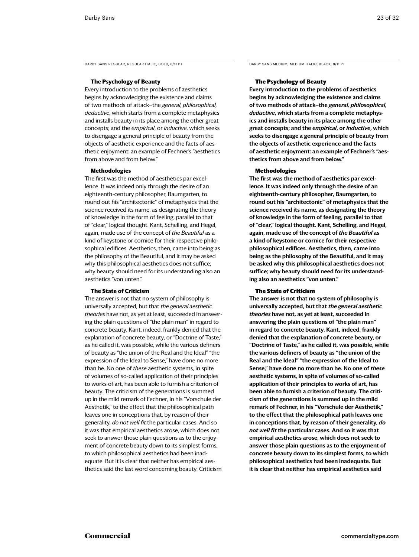DARBY SANS REGULAR, REGULAR ITALIC, BOLD, 8/11 PT DARBY SANS MEDIUM, MEDIUM ITALIC, BLACK, 8/11 PT

### **The Psychology of Beauty**

Every introduction to the problems of aesthetics begins by acknowledging the existence and claims of two methods of attack—the *general, philosophical, deductive*, which starts from a complete metaphysics and installs beauty in its place among the other great concepts; and the *empirical*, or *inductive*, which seeks to disengage a general principle of beauty from the objects of aesthetic experience and the facts of aesthetic enjoyment: an example of Fechner's "aesthetics from above and from below."

### **Methodologies**

The first was the method of aesthetics par excellence. It was indeed only through the desire of an eighteenth-century philosopher, Baumgarten, to round out his "architectonic" of metaphysics that the science received its name, as designating the theory of knowledge in the form of feeling, parallel to that of "clear," logical thought. Kant, Schelling, and Hegel, again, made use of the concept of *the Beautiful* as a kind of keystone or cornice for their respective philosophical edifices. Aesthetics, then, came into being as the philosophy of the Beautiful, and it may be asked why this philosophical aesthetics does not suffice; why beauty should need for its understanding also an aesthetics "von unten."

### **The State of Criticism**

The answer is not that no system of philosophy is universally accepted, but that *the general aesthetic theories* have not, as yet at least, succeeded in answering the plain questions of "the plain man" in regard to concrete beauty. Kant, indeed, frankly denied that the explanation of concrete beauty, or "Doctrine of Taste," as he called it, was possible, while the various definers of beauty as "the union of the Real and the Ideal" "the expression of the Ideal to Sense," have done no more than he. No one of *these* aesthetic systems, in spite of volumes of so-called application of their principles to works of art, has been able to furnish a criterion of beauty. The criticism of the generations is summed up in the mild remark of Fechner, in his "Vorschule der Aesthetik," to the effect that the philosophical path leaves one in conceptions that, by reason of their generality, *do not well fit* the particular cases. And so it was that empirical aesthetics arose, which does not seek to answer those plain questions as to the enjoyment of concrete beauty down to its simplest forms, to which philosophical aesthetics had been inadequate. But it is clear that neither has empirical aesthetics said the last word concerning beauty. Criticism

### The Psychology of Beauty

Every introduction to the problems of aesthetics begins by acknowledging the existence and claims of two methods of attack—the *general, philosophical, deductive*, which starts from a complete metaphysics and installs beauty in its place among the other great concepts; and the *empirical*, or *inductive*, which seeks to disengage a general principle of beauty from the objects of aesthetic experience and the facts of aesthetic enjoyment: an example of Fechner's "aesthetics from above and from below."

### Methodologies

The first was the method of aesthetics par excellence. It was indeed only through the desire of an eighteenth-century philosopher, Baumgarten, to round out his "architectonic" of metaphysics that the science received its name, as designating the theory of knowledge in the form of feeling, parallel to that of "clear," logical thought. Kant, Schelling, and Hegel, again, made use of the concept of *the Beautiful* as a kind of keystone or cornice for their respective philosophical edifices. Aesthetics, then, came into being as the philosophy of the Beautiful, and it may be asked why this philosophical aesthetics does not suffice; why beauty should need for its understanding also an aesthetics "von unten."

### The State of Criticism

The answer is not that no system of philosophy is universally accepted, but that *the general aesthetic theories* have not, as yet at least, succeeded in answering the plain questions of "the plain man" in regard to concrete beauty. Kant, indeed, frankly denied that the explanation of concrete beauty, or "Doctrine of Taste," as he called it, was possible, while the various definers of beauty as "the union of the Real and the Ideal" "the expression of the Ideal to Sense," have done no more than he. No one of *these* aesthetic systems, in spite of volumes of so-called application of their principles to works of art, has been able to furnish a criterion of beauty. The criticism of the generations is summed up in the mild remark of Fechner, in his "Vorschule der Aesthetik," to the effect that the philosophical path leaves one in conceptions that, by reason of their generality, *do not well fit* the particular cases. And so it was that empirical aesthetics arose, which does not seek to answer those plain questions as to the enjoyment of concrete beauty down to its simplest forms, to which philosophical aesthetics had been inadequate. But it is clear that neither has empirical aesthetics said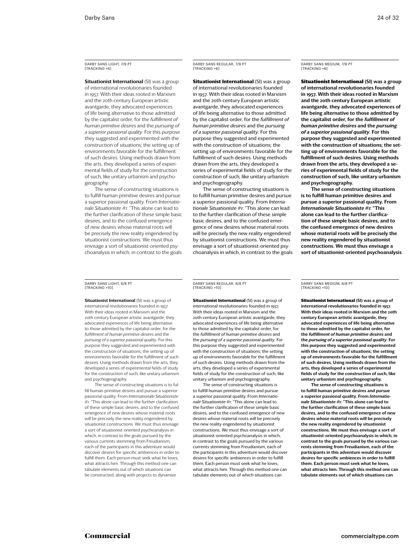**Situationist International (SI) was a group** of international revolutionaries founded in 1957. With their ideas rooted in Marxism and the 20th century European artistic avantgarde, they advocated experiences of life being alternative to those admitted by the capitalist order, for the *fulfillment of human primitive desires* and the *pursuing of a superior passional quality*. For this purpose they suggested and experimented with the construction of situations; the setting up of environments favorable for the fulfillment of such desires. Using methods drawn from the arts, they developed a series of experimental fields of study for the construction of such, like unitary urbanism and psychogeography.

The sense of constructing situations is to fulfill human primitive desires and pursue a superior passional quality. From *Internationale Situationiste #1*: "This alone can lead to the further clarification of these simple basic desires, and to the confused emergence of new desires whose material roots will be precisely the new reality engendered by situationist constructions. We must thus envisage a sort of situationist-oriented psychoanalysis in which, in contrast to the goals Darby Sans Regular, 7/9 PT [tracking +6]

**Situationist International (SI) was a group** of international revolutionaries founded in 1957. With their ideas rooted in Marxism and the 20th century European artistic avantgarde, they advocated experiences of life being alternative to those admitted by the capitalist order, for the *fulfillment of human primitive desires* and the *pursuing of a superior passional quality*. For this purpose they suggested and experimented with the construction of situations; the setting up of environments favorable for the fulfillment of such desires. Using methods drawn from the arts, they developed a series of experimental fields of study for the construction of such, like unitary urbanism and psychogeography.

The sense of constructing situations is to fulfill human primitive desires and pursue a superior passional quality. From *Internationale Situationiste #1*: "This alone can lead to the further clarification of these simple basic desires, and to the confused emergence of new desires whose material roots will be precisely the new reality engendered by situationist constructions. We must thus envisage a sort of situationist-oriented psychoanalysis in which, in contrast to the goals Darby Sans Medium, 7/9 PT [tracking +6]

**Situationist International (SI) was a group** of international revolutionaries founded in 1957. With their ideas rooted in Marxism and the 20th century European artistic avantgarde, they advocated experiences of life being alternative to those admitted by the capitalist order, for the *fulfillment of human primitive desires* and the *pursuing of a superior passional quality*. For this purpose they suggested and experimented with the construction of situations; the setting up of environments favorable for the fulfillment of such desires. Using methods drawn from the arts, they developed a series of experimental fields of study for the construction of such, like unitary urbanism and psychogeography.

The sense of constructing situations is to fulfill human primitive desires and pursue a superior passional quality. From *Internationale Situationiste #1*: "This alone can lead to the further clarification of these simple basic desires, and to the confused emergence of new desires whose material roots will be precisely the new reality engendered by situationist constructions. We must thus envisage a sort of situationist-oriented psychoanalysis

Darby Sans Light, 6/8 Pt [tracking +10]

**Situationist International (SI) was a group of** international revolutionaries founded in 1957. With their ideas rooted in Marxism and the 20th century European artistic avantgarde, they advocated experiences of life being alternative to those admitted by the capitalist order, for the *fulfillment of human primitive desires* and the *pursuing of a superior passional quality*. For this purpose they suggested and experimented with the construction of situations; the setting up of environments favorable for the fulfillment of such desires. Using methods drawn from the arts, they developed a series of experimental fields of study for the construction of such, like unitary urbanism and psychogeography.

The sense of constructing situations is to fulfill human primitive desires and pursue a superior passional quality. From *Internationale Situationiste #1*: "This alone can lead to the further clarification of these simple basic desires, and to the confused emergence of new desires whose material roots will be precisely the new reality engendered by situationist constructions. We must thus envisage a sort of situationist-oriented psychoanalysis in which, in contrast to the goals pursued by the various currents stemming from Freudianism, each of the participants in this adventure would discover desires for specific ambiences in order to fulfill them. Each person must seek what he loves, what attracts him. Through this method one can tabulate elements out of which situations can be constructed, along with projects to dynamize

Darby Sans Regular, 6/8 PT [tracking +10]

**Situationist International** (SI) was a group of international revolutionaries founded in 1957. With their ideas rooted in Marxism and the 20th century European artistic avantgarde, they advocated experiences of life being alternative to those admitted by the capitalist order, for the *fulfillment of human primitive desires* and the *pursuing of a superior passional quality*. For this purpose they suggested and experimented with the construction of situations; the setting up of environments favorable for the fulfillment of such desires. Using methods drawn from the arts, they developed a series of experimental fields of study for the construction of such, like unitary urbanism and psychogeography.

The sense of constructing situations is to fulfill human primitive desires and pursue a superior passional quality. From *Internationale Situationiste #1*: "This alone can lead to the further clarification of these simple basic desires, and to the confused emergence of new desires whose material roots will be precisely the new reality engendered by situationist constructions. We must thus envisage a sort of situationist-oriented psychoanalysis in which, in contrast to the goals pursued by the various currents stemming from Freudianism, each of the participants in this adventure would discover desires for specific ambiences in order to fulfill them. Each person must seek what he loves, what attracts him. Through this method one can tabulate elements out of which situations can

Darby Sans Medium, 6/8 PT [tracking +10]

Situationist International (SI) was a group of international revolutionaries founded in 1957. With their ideas rooted in Marxism and the 20th century European artistic avantgarde, they advocated experiences of life being alternative to those admitted by the capitalist order, for the *fulfillment of human primitive desires* and the *pursuing of a superior passional quality*. For this purpose they suggested and experimented with the construction of situations; the setting up of environments favorable for the fulfillment of such desires. Using methods drawn from the arts, they developed a series of experimental fields of study for the construction of such, like unitary urbanism and psychogeography.

The sense of constructing situations is to fulfill human primitive desires and pursue a superior passional quality. From *Internationale Situationiste #1*: "This alone can lead to the further clarification of these simple basic desires, and to the confused emergence of new desires whose material roots will be precisely the new reality engendered by situationist constructions. We must thus envisage a sort of situationist-oriented psychoanalysis in which, in contrast to the goals pursued by the various currents stemming from Freudianism, each of the participants in this adventure would discov desires for specific ambiences in order to fulfill them. Each person must seek what he loves, what attracts him. Through this method one can tabulate elements out of which situations can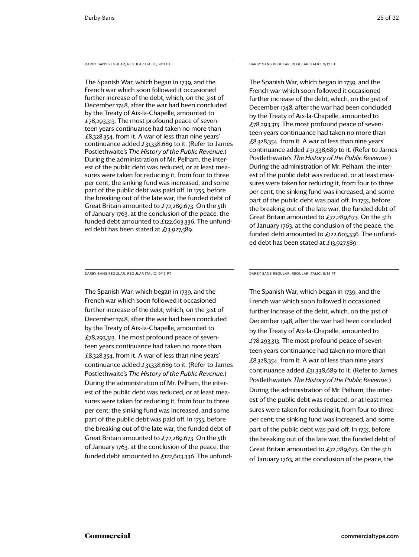Darby Sans Regular, Regular Italic, 9/11 PT

The Spanish War, which began in 1739, and the French war which soon followed it occasioned further increase of the debt, which, on the 31st of December 1748, after the war had been concluded by the Treaty of Aix-la-Chapelle, amounted to £78,293,313. The most profound peace of seventeen years continuance had taken no more than £8,328,354. from it. A war of less than nine years' continuance added £31,338,689 to it. (Refer to James Postlethwaite's *The History of the Public Revenue.*) During the administration of Mr. Pelham, the interest of the public debt was reduced, or at least measures were taken for reducing it, from four to three per cent; the sinking fund was increased, and some part of the public debt was paid off. In 1755, before the breaking out of the late war, the funded debt of Great Britain amounted to  $\pounds$ 72,289,673. On the 5th of January 1763, at the conclusion of the peace, the funded debt amounted to £122,603,336. The unfunded debt has been stated at £13,927,589.

Darby Sans Regular, Regular Italic, 9/13 PT

The Spanish War, which began in 1739, and the French war which soon followed it occasioned further increase of the debt, which, on the 31st of December 1748, after the war had been concluded by the Treaty of Aix-la-Chapelle, amounted to £78,293,313. The most profound peace of seventeen years continuance had taken no more than £8,328,354. from it. A war of less than nine years' continuance added £31,338,689 to it. (Refer to James Postlethwaite's *The History of the Public Revenue.*) During the administration of Mr. Pelham, the interest of the public debt was reduced, or at least measures were taken for reducing it, from four to three per cent; the sinking fund was increased, and some part of the public debt was paid off. In 1755, before the breaking out of the late war, the funded debt of Great Britain amounted to  $£72,289,673$ . On the 5th of January 1763, at the conclusion of the peace, the funded debt amounted to £122,603,336. The unfundDarby Sans Regular, Regular Italic, 9/12 PT

The Spanish War, which began in 1739, and the French war which soon followed it occasioned further increase of the debt, which, on the 31st of December 1748, after the war had been concluded by the Treaty of Aix-la-Chapelle, amounted to £78,293,313. The most profound peace of seventeen years continuance had taken no more than £8,328,354. from it. A war of less than nine years' continuance added £31,338,689 to it. (Refer to James Postlethwaite's *The History of the Public Revenue.*) During the administration of Mr. Pelham, the interest of the public debt was reduced, or at least measures were taken for reducing it, from four to three per cent; the sinking fund was increased, and some part of the public debt was paid off. In 1755, before the breaking out of the late war, the funded debt of Great Britain amounted to  $\pounds$ 72,289,673. On the 5th of January 1763, at the conclusion of the peace, the funded debt amounted to £122,603,336. The unfunded debt has been stated at £13,927,589.

Darby Sans Regular, Regular Italic, 9/14 PT

The Spanish War, which began in 1739, and the French war which soon followed it occasioned further increase of the debt, which, on the 31st of December 1748, after the war had been concluded by the Treaty of Aix-la-Chapelle, amounted to £78,293,313. The most profound peace of seventeen years continuance had taken no more than £8,328,354. from it. A war of less than nine years' continuance added £31,338,689 to it. (Refer to James Postlethwaite's *The History of the Public Revenue.*) During the administration of Mr. Pelham, the interest of the public debt was reduced, or at least measures were taken for reducing it, from four to three per cent; the sinking fund was increased, and some part of the public debt was paid off. In 1755, before the breaking out of the late war, the funded debt of Great Britain amounted to £72,289,673. On the 5th of January 1763, at the conclusion of the peace, the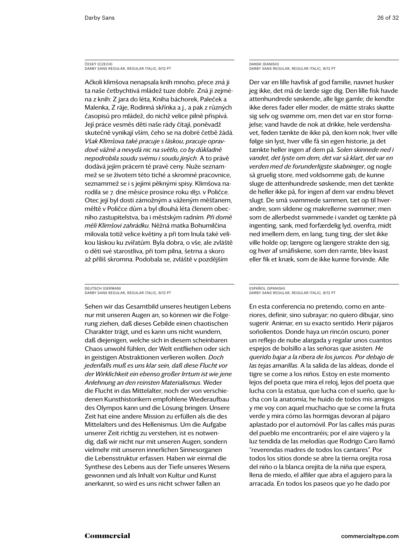### ČESKÝ (CZECH) Darby Sans Regular, Regular Italic, 9/12 PT

Ačkoli klimšova nenapsala knih mnoho, přece zná ji ta naše četbychtivá mládež tuze dobře. Zná ji zejména z knih: Z jara do léta, Kniha báchorek, Paleček a Malenka, Z ráje, Rodinná skřínka a j., a pak z různých časopisů pro mládež, do nichž velice pilně přispívá. Její práce vesměs děti naše rády čítají, poněvadž skutečně vynikají vším, čeho se na dobré četbě žádá. *Však Klimšova také pracuje s láskou, pracuje opravdově vážně a nevydá nic na světlo, co by důkladně nepodrobila soudu svému i soudu jiných*. A to právě dodává jejím prácem té pravé ceny. Nuže seznammež se se životem této tiché a skromné pracovnice, seznammež se i s jejími pěknými spisy. Klimšova narodila se 7. dne měsíce prosince roku 1851. v Poličce. Otec její byl dosti zámožným a váženým měšťanem, měltě v Poličce dům a byl dlouhá léta členem obecního zastupitelstva, ba i městským radním. *Při domě měli Klimšovi zahrádku.* Něžná matka Bohumilčina milovala totiž velice květiny a při tom lnula také velikou láskou ku zvířatům. Byla dobra, o vše, ale zvláště o děti své starostliva, při tom pilna, šetrna a skoro až příliš skromna. Podobala se, zvláště v pozdějším

### DEUTSCH (GERMAN) DARBY SANS REGULAR, REGULAR ITALIC, 9/12 PT

Sehen wir das Gesamtbild unseres heutigen Lebens nur mit unseren Augen an, so können wir die Folgerung ziehen, daß dieses Gebilde einen chaotischen Charakter trägt, und es kann uns nicht wundern, daß diejenigen, welche sich in diesem scheinbaren Chaos unwohl fühlen, der Welt entfliehen oder sich in geistigen Abstraktionen verlieren wollen. *Doch jedenfalls muß es uns klar sein, daß diese Flucht vor der Wirklichkeit ein ebenso großer Irrtum ist wie jene Anlehnung an den reinsten Materialismus*. Weder die Flucht in das Mittelalter, noch der von verschiedenen Kunsthistorikern empfohlene Wiederaufbau des Olympos kann und die Lösung bringen. Unsere Zeit hat eine andere Mission zu erfüllen als die des Mittelalters und des Hellenismus. Um die Aufgabe unserer Zeit richtig zu verstehen, ist es notwendig, daß wir nicht nur mit unseren Augen, sondern vielmehr mit unseren innerlichen Sinnesorganen die Lebensstruktur erfassen. Haben wir einmal die Synthese des Lebens aus der Tiefe unseres Wesens gewonnen und als Inhalt von Kultur und Kunst anerkannt, so wird es uns nicht schwer fallen an

### DANSK (DANISH) Darby Sans Regular, Regular Italic, 9/12 PT

Der var en lille havfisk af god familie, navnet husker jeg ikke, det må de lærde sige dig. Den lille fisk havde attenhundrede søskende, alle lige gamle; de kendte ikke deres fader eller moder, de måtte straks skøtte sig selv og svømme om, men det var en stor fornøjelse; vand havde de nok at drikke, hele verdenshavet, føden tænkte de ikke på, den kom nok; hver ville følge sin lyst, hver ville få sin egen historie, ja det tænkte heller ingen af dem på. *Solen skinnede ned i vandet, det lyste om dem, det var så klart, det var en verden med de forunderligste skabninger*, og nogle så gruelig store, med voldsomme gab, de kunne sluge de attenhundrede søskende, men det tænkte de heller ikke på, for ingen af dem var endnu blevet slugt. De små svømmede sammen, tæt op til hverandre, som sildene og makrellerne svømmer; men som de allerbedst svømmede i vandet og tænkte på ingenting, sank, med forfærdelig lyd, ovenfra, midt ned imellem dem, en lang, tung ting, der slet ikke ville holde op; længere og længere strakte den sig, og hver af småfiskene, som den ramte, blev kvast eller fik et knæk, som de ikke kunne forvinde. Alle

### ESPAÑOL (SPANISH) Darby Sans Regular, Regular Italic, 9/12 PT

En esta conferencia no pretendo, como en anteriores, definir, sino subrayar; no quiero dibujar, sino sugerir. Animar, en su exacto sentido. Herir pájaros soñolientos. Donde haya un rincón oscuro, poner un reflejo de nube alargada y regalar unos cuantos espejos de bolsillo a las señoras que asisten. *He querido bajar a la ribera de los juncos. Por debajo de las tejas amarillas*. A la salida de las aldeas, donde el tigre se come a los niños. Estoy en este momento lejos del poeta que mira el reloj, lejos del poeta que lucha con la estatua, que lucha con el sueño, que lucha con la anatomía; he huido de todos mis amigos y me voy con aquel muchacho que se come la fruta verde y mira cómo las hormigas devoran al pájaro aplastado por el automóvil. Por las calles más puras del pueblo me encontraréis; por el aire viajero y la luz tendida de las melodías que Rodrigo Caro llamó "reverendas madres de todos los cantares". Por todos los sitios donde se abre la tierna orejita rosa del niño o la blanca orejita de la niña que espera, llena de miedo, el alfiler que abra el agujero para la arracada. En todos los paseos que yo he dado por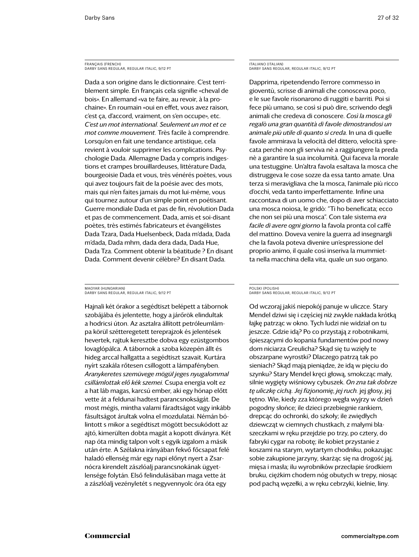### FRANÇAIS (FRENCH) Darby Sans Regular, Regular Italic, 9/12 PT

Dada a son origine dans le dictionnaire. C'est terriblement simple. En français cela signifie «cheval de bois». En allemand «va te faire, au revoir, à la prochaine». En roumain «oui en effet, vous avez raison, c'est ça, d'accord, vraiment, on s'en occupe», etc. *C'est un mot international. Seulement un mot et ce mot comme mouvement.* Très facile à comprendre. Lorsqu'on en fait une tendance artistique, cela revient à vouloir supprimer les complications. Psychologie Dada. Allemagne Dada y compris indigestions et crampes brouillardeuses, littérature Dada, bourgeoisie Dada et vous, très vénérés poètes, vous qui avez toujours fait de la poésie avec des mots, mais qui n'en faites jamais du mot lui-même, vous qui tournez autour d'un simple point en poétisant. Guerre mondiale Dada et pas de fin, révolution Dada et pas de commencement. Dada, amis et soi-disant poètes, très estimés fabricateurs et évangélistes Dada Tzara, Dada Huelsenbeck, Dada m'dada, Dada m'dada, Dada mhm, dada dera dada, Dada Hue, Dada Tza. Comment obtenir la béatitude ? En disant Dada. Comment devenir célèbre? En disant Dada.

### MAGYAR (HUNGARIAN) DARBY SANS REGULAR, REGULAR ITALIC, 9/12 PT

Hajnali két órakor a segédtiszt belépett a tábornok szobájába és jelentette, hogy a járőrök elindultak a hodricsi úton. Az asztalra állított petróleumlámpa körül szétteregetett tereprajzok és jelentések hevertek, rajtuk keresztbe dobva egy ezüstgombos lovaglópálca. A tábornok a szoba közepén állt és hideg arccal hallgatta a segédtiszt szavait. Kurtára nyírt szakála rőtesen csillogott a lámpafényben. *Aranykeretes szemüvege mögül jeges nyugalommal csillámlottak elő kék szemei.* Csupa energia volt ez a hat láb magas, karcsú ember, aki egy hónap előtt vette át a feldunai hadtest parancsnokságát. De most mégis, mintha valami fáradtságot vagy inkább fásultságot árultak volna el mozdulatai. Némán bólintott s mikor a segédtiszt mögött becsukódott az ajtó, kimerülten dobta magát a kopott díványra. Két nap óta mindig talpon volt s egyik izgalom a másik után érte. A Szélakna irányában fekvő főcsapat felé haladó ellenség már egy napi előnyt nyert a Zsarnócra kirendelt zászlóalj parancsnokának ügyetlensége folytán. Első felindulásában maga vette át a zászlóalj vezényletét s negyvennyolc óra óta egy

ITALIANO (ITALIAN) Darby Sans Regular, Regular Italic, 9/12 PT

Dapprima, ripetendendo l'errore commesso in gioventù, scrisse di animali che conosceva poco, e le sue favole risonarono di ruggiti e barriti. Poi si fece più umano, se così si può dire, scrivendo degli animali che credeva di conoscere. *Così la mosca gli regalò una gran quantità di favole dimostrandosi un animale più utile di quanto si creda*. In una di quelle favole ammirava la velocità del dittero, velocità sprecata perchè non gli serviva nè a raggiungere la preda nè a garantire la sua incolumità. Qui faceva la morale una testuggine. Un'altra favola esaltava la mosca che distruggeva le cose sozze da essa tanto amate. Una terza si meravigliava che la mosca, l'animale più ricco d'occhi, veda tanto imperfettamente. Infine una raccontava di un uomo che, dopo di aver schiacciato una mosca noiosa, le gridò: "Ti ho beneficata; ecco che non sei più una mosca". Con tale sistema *era facile di avere ogni giorno* la favola pronta col caffè del mattino. Doveva venire la guerra ad insegnargli che la favola poteva divenire un'espressione del proprio animo, il quale così inseriva la mummietta nella macchina della vita, quale un suo organo.

### POLSKI (POLISH) Darby Sans Regular, Regular Italic, 9/12 PT

Od wczoraj jakiś niepokój panuje w uliczce. Stary Mendel dziwi się i częściej niż zwykle nakłada krótką łajkę patrząc w okno. Tych ludzi nie widział on tu jeszcze. Gdzie idą? Po co przystają z robotnikami, śpieszącymi do kopania fundamentów pod nowy dom niciarza Greulicha? Skąd się tu wzięły te obszarpane wyrostki? Dlaczego patrzą tak po sieniach? Skąd mają pieniądze, że idą w pięciu do szynku? Stary Mendel kręci głową, smokcząc mały, silnie wygięty wiśniowy cybuszek. *On zna tak dobrze tę uliczkę cichą. Jej fizjonomię, jej ruch.* jej głosy, jej tętno. Wie, kiedy zza którego węgła wyjrzy w dzień pogodny słońce; ile dzieci przebiegnie rankiem, drepcąc do ochronki, do szkoły; ile zwiędłych dziewcząt w ciemnych chustkach, z małymi blaszeczkami w ręku przejdzie po trzy, po cztery, do fabryki cygar na robotę; ile kobiet przystanie z koszami na starym, wytartym chodniku, pokazując sobie zakupione jarzyny, skarżąc się na drogość jaj, mięsa i masła; ilu wyrobników przecłapie środkiem bruku, ciężkim chodem nóg obutych w trepy, niosąc pod pachą węzełki, a w ręku cebrzyki, kielnie, liny.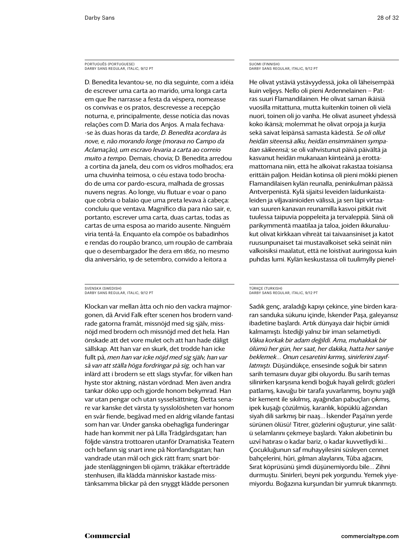### PORTUGUÊS (PORTUGUESE) Darby Sans Regular, italic, 9/12 PT

D. Benedita levantou-se, no dia seguinte, com a idéia de escrever uma carta ao marido, uma longa carta em que lhe narrasse a festa da véspera, nomeasse os convivas e os pratos, descrevesse a recepção noturna, e, principalmente, desse notícia das novas relações com D. Maria dos Anjos. A mala fechava- -se às duas horas da tarde, *D. Benedita acordara às nove, e, não morando longe (morava no Campo da Aclamação), um escravo levaria a carta ao correio muito a tempo.* Demais, chovia; D. Benedita arredou a cortina da janela, deu com os vidros molhados; era uma chuvinha teimosa, o céu estava todo brochado de uma cor pardo-escura, malhada de grossas nuvens negras. Ao longe, viu flutuar e voar o pano que cobria o balaio que uma preta levava à cabeça: concluiu que ventava. Magnífico dia para não sair, e, portanto, escrever uma carta, duas cartas, todas as cartas de uma esposa ao marido ausente. Ninguém viria tentá-la. Enquanto ela compõe os babadinhos e rendas do roupão branco, um roupão de cambraia que o desembargador lhe dera em 1862, no mesmo dia aniversário, 19 de setembro, convido a leitora a

### SVENSKA (SWEDISH) DARBY SANS REGULAR, ITALIC, 9/12 PT

Klockan var mellan åtta och nio den vackra majmorgonen, då Arvid Falk efter scenen hos brodern vandrade gatorna framåt, missnöjd med sig själv, missnöjd med brodern och missnöjd med det hela. Han önskade att det vore mulet och att han hade dåligt sällskap. Att han var en skurk, det trodde han icke fullt på, *men han var icke nöjd med sig själv, han var så van att ställa höga fordringar på sig,* och han var inlärd att i brodern se ett slags styvfar, för vilken han hyste stor aktning, nästan vördnad. Men även andra tankar döko upp och gjorde honom bekymrad. Han var utan pengar och utan sysselsättning. Detta senare var kanske det värsta ty sysslolösheten var honom en svår fiende, begåvad med en aldrig vilande fantasi som han var. Under ganska obehagliga funderingar hade han kommit ner på Lilla Trädgårdsgatan; han följde vänstra trottoaren utanför Dramatiska Teatern och befann sig snart inne på Norrlandsgatan; han vandrade utan mål och gick rätt fram; snart började stenläggningen bli ojämn, träkåkar efterträdde stenhusen, illa klädda människor kastade misstänksamma blickar på den snyggt klädde personen

### SUOMI (FINNISH) Darby Sans Regular, italic, 9/12 PT

He olivat ystäviä ystävyydessä, joka oli läheisempää kuin veljeys. Nello oli pieni Ardennelainen — Patras suuri Flamandilainen. He olivat saman ikäisiä vuosilla mitattuna, mutta kuitenkin toinen oli vielä nuori, toinen oli jo vanha. He olivat asuneet yhdessä koko ikänsä; molemmat he olivat orpoja ja kurjia sekä saivat leipänsä samasta kädestä. *Se oli ollut heidän siteensä alku, heidän ensimmäinen sympatian säikeensä;* se oli vahvistunut päivä päivältä ja kasvanut heidän mukanaan kiinteänä ja erottamattomana niin, että he alkoivat rakastaa toisiansa erittäin paljon. Heidän kotinsa oli pieni mökki pienen Flamandilaisen kylän reunalla, peninkulman päässä Antverpenistä. Kylä sijaitsi leveiden laidunkaistaleiden ja viljavainioiden välissä, ja sen läpi virtaavan suuren kanavan reunamilla kasvoi pitkät rivit tuulessa taipuvia poppeleita ja tervaleppiä. Siinä oli parikymmentä maatilaa ja taloa, joiden ikkunaluukut olivat kirkkaan vihreät tai taivaansiniset ja katot ruusunpunaiset tai mustavalkoiset sekä seinät niin valkoisiksi maalatut, että ne loistivat auringossa kuin puhdas lumi. Kylän keskustassa oli tuulimylly pienel-

### TÜRKÇE (TURKISH) DARBY SANS REGULAR, ITALIC, 9/12 PT

Sadık genç, araladığı kapıyı çekince, yine birden kararan sanduka sükunu içinde, İskender Paşa, galeyansız ibadetine başlardı. Artık dünyaya dair hiçbir ümidi kalmamıştı. İstediği yalnız bir iman selametiydi. *Vâkıa korkak bir adam değildi. Ama, muhakkak bir ölümü her gün, her saat, her dakika, hatta her saniye beklemek… Onun cesaretini kırmış, sinirlerini zayıflatmıştı.* Düşündükçe, ensesinde soğuk bir satırın sarih temasını duyar gibi oluyordu. Bu sarih temas silinirken karşısına kendi boğuk hayali gelirdi; gözleri patlamış, kavuğu bir tarafa yuvarlanmış, boynu yağlı bir kement ile sıkılmış, ayağından pabuçları çıkmış, ipek kuşağı çözülmüş, karanlık, köpüklü ağzından siyah dili sarkmış bir naaş… İskender Paşa'nın yerde sürünen ölüsü! Titrer, gözlerini oğuşturur, yine salâtü selamlarını çekmeye başlardı. Yakın akıbetinin bu uzvî hatırası o kadar bariz, o kadar kuvvetliydi ki… Çocukluğunun saf muhayyilesini süsleyen cennet bahçelerini, hûri, gılman alaylarını, Tûba ağacını, Sırat köprüsünü şimdi düşünemiyordu bile… Zihni durmuştu. Sinirleri, beyni pek yorgundu. Yemek yiyemiyordu. Boğazına kurşundan bir yumruk tıkanmıştı.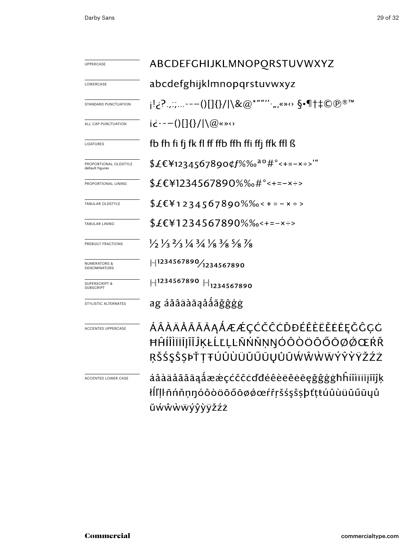| UPPERCASE                                    | ABCDEFGHIJKLMNOPORSTUVWXYZ                                                                                                    |  |  |  |  |
|----------------------------------------------|-------------------------------------------------------------------------------------------------------------------------------|--|--|--|--|
| LOWERCASE                                    | abcdefghijklmnopqrstuvwxyz                                                                                                    |  |  |  |  |
| STANDARD PUNCTUATION                         | j!¿?.,;;---()[]{}/ \&@*""''·",«»↔ §•¶†‡©℗®™                                                                                   |  |  |  |  |
| ALL CAP PUNCTUATION                          | $i\dot{\epsilon}$ ---()[]{}/ \@«» $\circ$                                                                                     |  |  |  |  |
| LIGATURES                                    | fb fh fi fj fk fl ff ffb ffh ffi ffj ffk ffl ß                                                                                |  |  |  |  |
| PROPORTIONAL OLDSTYLE<br>default figures     | \$£€¥1234567890¢f%‰ <sup>ao</sup> #°<+=-×÷>'"                                                                                 |  |  |  |  |
| PROPORTIONAL LINING                          | \$£€¥1234567890%‰#°<+=-×÷>                                                                                                    |  |  |  |  |
| TABULAR OLDSTYLE                             | $$£E¥1234567890\%$ % $\cdot$ +=-x ÷>                                                                                          |  |  |  |  |
| TABULAR LINING                               | \$£€¥1234567890%‰<+=-×÷>                                                                                                      |  |  |  |  |
| PREBUILT FRACTIONS                           | $\frac{1}{3}$ $\frac{1}{3}$ $\frac{2}{3}$ $\frac{1}{4}$ $\frac{3}{4}$ $\frac{1}{8}$ $\frac{3}{8}$ $\frac{5}{8}$ $\frac{7}{8}$ |  |  |  |  |
| <b>NUMERATORS &amp;</b><br>DENOMINATORS      | H1234567890/1234567890                                                                                                        |  |  |  |  |
| <b>SUPERSCRIPT &amp;</b><br><b>SUBSCRIPT</b> | $H$ 1234567890 $H$ <sub>1234567890</sub>                                                                                      |  |  |  |  |
| STYLISTIC ALTERNATES                         | ag áăâäàāaååãǧĝģġ                                                                                                             |  |  |  |  |
| <b>ACCENTED UPPERCASE</b>                    | ÁÂÀÄÅÃĂĀĀĄÅÆÆÇĆČĈĊĎĐÉÊÈËĔĒĒĘČĈÇĊ<br>ĦĤĺÎÌÏĬĨĨĨĴĶŁĹĽĻĿÑŃŇŅŊÓÔÒÖŐŐŌØØŒŔŘ<br>ŖŠŚŞŜŞÞŤŢŦÚÛÙÜŬŰŨŲŮŨŴŴŴŴÝŶŶŸŽŹŻ                     |  |  |  |  |
| ACCENTED LOWER CASE                          | áâàäåãăāąåææçćčĉċďđéêèëĕēeġĝĝģġħĥíîìïijĩijĭķ<br>łlľļŀñńňņŋóôòöõőōøǿœŕřŗšśşŝṣþťṭŧúûùüŭűūyů<br>ũẃŵẁẅýŷỳÿžźż                     |  |  |  |  |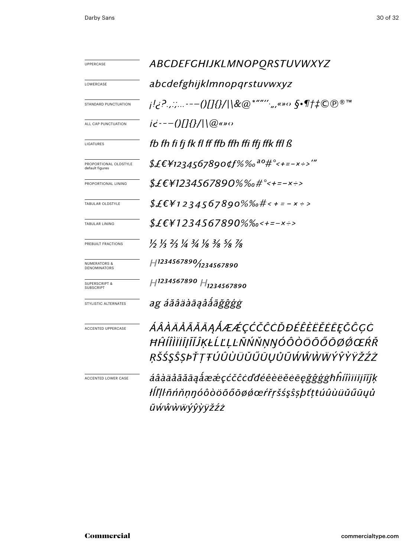| UPPERCASE                                      | ABCDEFGHIJKLMNOPORSTUVWXYZ                                                                                 |  |  |  |  |
|------------------------------------------------|------------------------------------------------------------------------------------------------------------|--|--|--|--|
| LOWERCASE                                      | abcdefghijklmnopqrstuvwxyz                                                                                 |  |  |  |  |
| STANDARD PUNCTUATION                           | <i>;!¿?.,:;---()[]{}/\\&amp;@*""'',,,«»</i> ο §•¶†‡©℗®™                                                    |  |  |  |  |
| ALL CAP PUNCTUATION                            | $i\dot{\epsilon}$ ---()[]{}/ \@«» $\circ$                                                                  |  |  |  |  |
| LIGATURES                                      | fb fh fi fj fk fl ff ffb ffh ffi ffj ffk ffl ß                                                             |  |  |  |  |
| PROPORTIONAL OLDSTYLE<br>default figures       | \$£€¥1234567890¢f%‰ <sup>ao</sup> #°<+=-×÷>'"                                                              |  |  |  |  |
| PROPORTIONAL LINING                            | $$£EY1234567890%$ %o#°<+=-x÷>                                                                              |  |  |  |  |
| TABULAR OLDSTYLE                               | $$£EY1234567890\%%$ #< + = - x ÷ >                                                                         |  |  |  |  |
| TABULAR LINING                                 | \$£€¥1234567890%‰<+=-×÷>                                                                                   |  |  |  |  |
| PREBUILT FRACTIONS                             | 1/2 1/3 2/3 1/4 3/4 1/8 3/8 3/8 7/8                                                                        |  |  |  |  |
| <b>NUMERATORS &amp;</b><br><b>DENOMINATORS</b> | H1234567890/1234567890                                                                                     |  |  |  |  |
| <b>SUPERSCRIPT &amp;</b><br><b>SUBSCRIPT</b>   | H1234567890 H <sub>1234567890</sub>                                                                        |  |  |  |  |
| STYLISTIC ALTERNATES                           | ag áăâäàāąååãǧĝģģ                                                                                          |  |  |  |  |
| ACCENTED UPPERCASE                             | ÁÂÀÄÅÃĂĀĀĄÅÆÆÇĆČĈĊĎĐÉÊÈËĔĔĒĘĞĈÇĊ<br>ĦĤÍÎÌÏĬĪJĨĬĴĶŁĹĽĻĿÑŃŇŅŊÓÔŎÖŐŐŌØŐŒŔŘ<br>ŖŠŚŞŜŞÞŤŢŦÚÛÙÜŬŰŨŲŮŨŴŴŴŴŶŶŸŸŽŹŻ |  |  |  |  |
| ACCENTED LOWER CASE                            | áâàäåãăāąåææçćčĉċďđéêèëĕēegğĝġġħĥíîìïiījĩĭĵķ<br>łĺľ ŀñńňṇŋóôòöõőōøǿœŕřŗšśşŝșþťțŧúûùüŭűūųů<br>ũẃŵẁẅýŷỳĕźż   |  |  |  |  |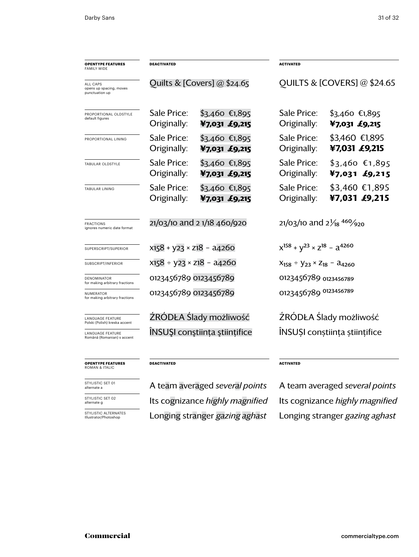| <b>OPENTYPE FEATURES</b><br><b>FAMILY WIDE</b>        | DEACTIVATED                          |                                  | <b>ACTIVATED</b>                             |                                    |  |
|-------------------------------------------------------|--------------------------------------|----------------------------------|----------------------------------------------|------------------------------------|--|
| ALL CAPS<br>opens up spacing, moves<br>punctuation up | Quilts & [Covers] @ \$24.65          |                                  | <b>QUILTS &amp; [COVERS] @ \$24.65</b>       |                                    |  |
| PROPORTIONAL OLDSTYLE<br>default figures              | Sale Price:<br>Originally:           | $$3,460$ €1,895<br>¥7,031 £9,215 | Sale Price:<br>Originally:                   | $$3,460$ €1,895<br>¥7,031 £9,215   |  |
| PROPORTIONAL LINING                                   | Sale Price:<br>Originally:           | $$3,460$ €1,895<br>¥7,031 £9,215 | Sale Price:<br>Originally:                   | \$3,460 €1,895<br>¥7,031 £9,215    |  |
| TABULAR OLDSTYLE                                      | Sale Price:<br>Originally:           | $$3,460$ €1,895<br>¥7,031 £9,215 | Sale Price:<br>Originally:                   | $$3,460$ €1,895<br>¥7,031 $£9,215$ |  |
| TABULAR LINING                                        | Sale Price:<br>Originally:           | $$3,460$ €1,895<br>¥7,031 £9,215 | Sale Price:<br>Originally:                   | \$3,460 €1,895<br>¥7,031 £9,215    |  |
| <b>FRACTIONS</b><br>ignores numeric date format       | 21/03/10 and 2 1/18 460/920          |                                  | 21/03/10 and $2\frac{1}{8}$ 460/920          |                                    |  |
| SUPERSCRIPT/SUPERIOR                                  | $x158 + y23 \times z18 - a4260$      |                                  | $x^{158} + y^{23} \times z^{18} - a^{4260}$  |                                    |  |
| SUBSCRIPT/INFERIOR                                    | $x158 \div y23 \times z18 - a4260$   |                                  | $X_{158}$ ÷ $Y_{23}$ × $Z_{18}$ – $a_{4260}$ |                                    |  |
| DENOMINATOR<br>for making arbitrary fractions         | 0123456789 0123456789                |                                  | 0123456789 0123456789                        |                                    |  |
| NUMERATOR<br>for making arbitrary fractions           | 0123456789 0123456789                |                                  | 0123456789 0123456789                        |                                    |  |
| LANGUAGE FEATURE<br>Polski (Polish) kreska accent     | ŹRÓDŁA Ślady możliwość               |                                  | ŻRÓDŁA Ślady możliwość                       |                                    |  |
| LANGUAGE FEATURE<br>Română (Romanian) s accent        | <b>INSUSI</b> constiința stiințifice |                                  | ÎNSUȘI conștiința științifice                |                                    |  |
| <b>OPENTYPE FEATURES</b>                              | <b>DEACTIVATED</b>                   |                                  | <b>ACTIVATED</b>                             |                                    |  |

**opentype FEATUREs** roman & ITALIC

STYLISTIC SET 01 alternate a

STYLISTIC SET 02 alternate g

STYLISTIC ALTERNAT<br>Illustrator/Photoshop

Its cognizance *highly magnified* Its cognizance *highly magnified* Longing stranger *gazing aghast* Longing stranger *gazing aghast*

A team averaged *several points* A team averaged *several points*